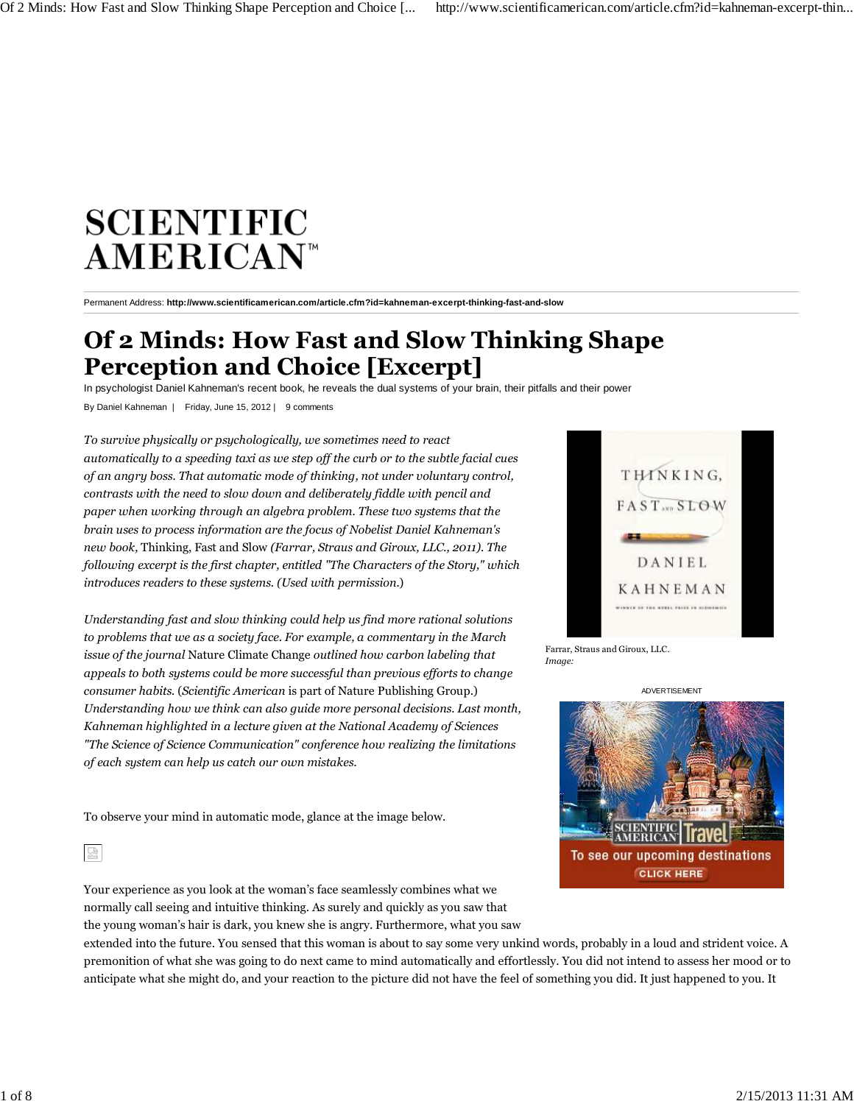# **SCIENTIFIC AMERICAN<sup>®</sup>**

Permanent Address: **http://www.scientificamerican.com/article.cfm?id=kahneman-excerpt-thinking-fast-and-slow**

## **Of 2 Minds: How Fast and Slow Thinking Shape Perception and Choice [Excerpt]**

In psychologist Daniel Kahneman's recent book, he reveals the dual systems of your brain, their pitfalls and their power By Daniel Kahneman | Friday, June 15, 2012 | 9 comments

*To survive physically or psychologically, we sometimes need to react automatically to a speeding taxi as we step off the curb or to the subtle facial cues of an angry boss. That automatic mode of thinking, not under voluntary control, contrasts with the need to slow down and deliberately fiddle with pencil and paper when working through an algebra problem. These two systems that the brain uses to process information are the focus of Nobelist Daniel Kahneman's new book,* Thinking, Fast and Slow *(Farrar, Straus and Giroux, LLC., 2011). The following excerpt is the first chapter, entitled "The Characters of the Story," which introduces readers to these systems. (Used with permission.*)

*Understanding fast and slow thinking could help us find more rational solutions to problems that we as a society face. For example, a commentary in the March issue of the journal* Nature Climate Change *outlined how carbon labeling that appeals to both systems could be more successful than previous efforts to change consumer habits.* (*Scientific American* is part of Nature Publishing Group.) *Understanding how we think can also guide more personal decisions. Last month, Kahneman highlighted in a lecture given at the National Academy of Sciences "The Science of Science Communication" conference how realizing the limitations of each system can help us catch our own mistakes.*

To observe your mind in automatic mode, glance at the image below.

뤖

Your experience as you look at the woman's face seamlessly combines what we normally call seeing and intuitive thinking. As surely and quickly as you saw that the young woman's hair is dark, you knew she is angry. Furthermore, what you saw

extended into the future. You sensed that this woman is about to say some very unkind words, probably in a loud and strident voice. A premonition of what she was going to do next came to mind automatically and effortlessly. You did not intend to assess her mood or to anticipate what she might do, and your reaction to the picture did not have the feel of something you did. It just happened to you. It



Farrar, Straus and Giroux, LLC. *Image:*

**ADVERTISEMENT** 

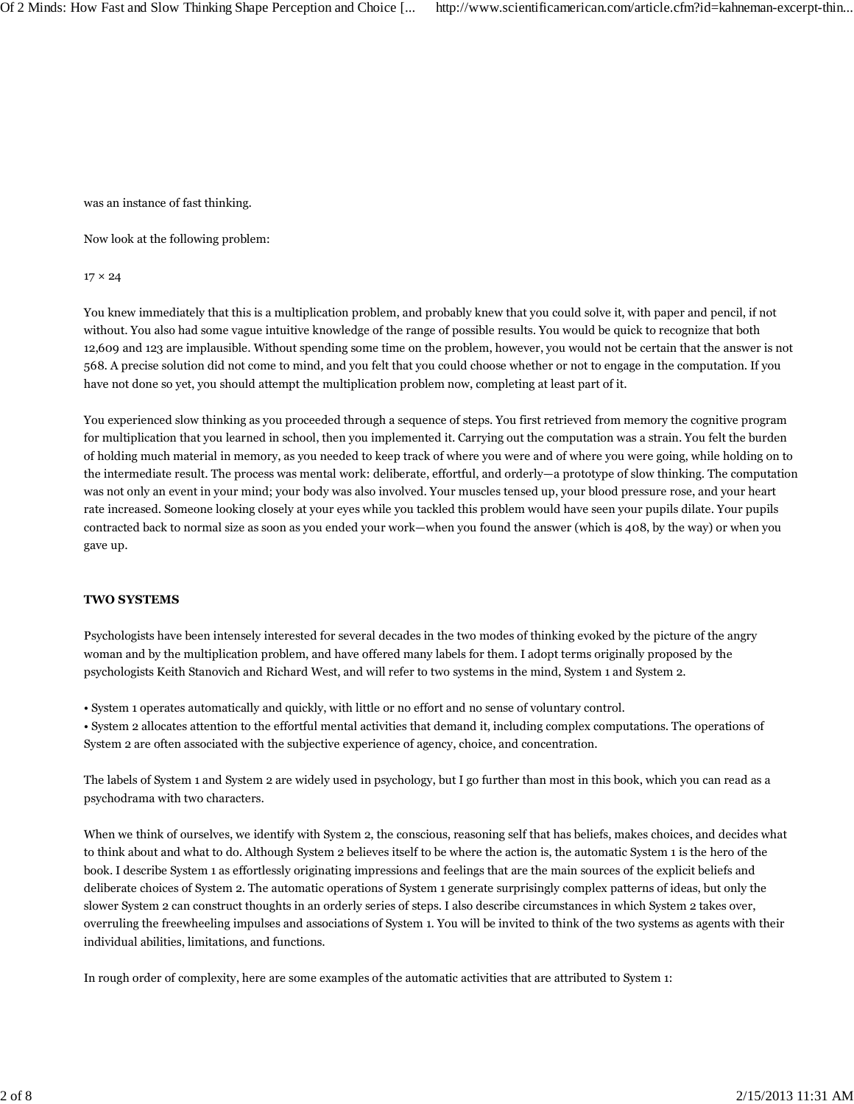was an instance of fast thinking.

Now look at the following problem:

 $17 \times 24$ 

You knew immediately that this is a multiplication problem, and probably knew that you could solve it, with paper and pencil, if not without. You also had some vague intuitive knowledge of the range of possible results. You would be quick to recognize that both 12,609 and 123 are implausible. Without spending some time on the problem, however, you would not be certain that the answer is not 568. A precise solution did not come to mind, and you felt that you could choose whether or not to engage in the computation. If you have not done so yet, you should attempt the multiplication problem now, completing at least part of it.

You experienced slow thinking as you proceeded through a sequence of steps. You first retrieved from memory the cognitive program for multiplication that you learned in school, then you implemented it. Carrying out the computation was a strain. You felt the burden of holding much material in memory, as you needed to keep track of where you were and of where you were going, while holding on to the intermediate result. The process was mental work: deliberate, effortful, and orderly—a prototype of slow thinking. The computation was not only an event in your mind; your body was also involved. Your muscles tensed up, your blood pressure rose, and your heart rate increased. Someone looking closely at your eyes while you tackled this problem would have seen your pupils dilate. Your pupils contracted back to normal size as soon as you ended your work—when you found the answer (which is 408, by the way) or when you gave up.

#### **TWO SYSTEMS**

Psychologists have been intensely interested for several decades in the two modes of thinking evoked by the picture of the angry woman and by the multiplication problem, and have offered many labels for them. I adopt terms originally proposed by the psychologists Keith Stanovich and Richard West, and will refer to two systems in the mind, System 1 and System 2.

• System 1 operates automatically and quickly, with little or no effort and no sense of voluntary control.

• System 2 allocates attention to the effortful mental activities that demand it, including complex computations. The operations of System 2 are often associated with the subjective experience of agency, choice, and concentration.

The labels of System 1 and System 2 are widely used in psychology, but I go further than most in this book, which you can read as a psychodrama with two characters.

When we think of ourselves, we identify with System 2, the conscious, reasoning self that has beliefs, makes choices, and decides what to think about and what to do. Although System 2 believes itself to be where the action is, the automatic System 1 is the hero of the book. I describe System 1 as effortlessly originating impressions and feelings that are the main sources of the explicit beliefs and deliberate choices of System 2. The automatic operations of System 1 generate surprisingly complex patterns of ideas, but only the slower System 2 can construct thoughts in an orderly series of steps. I also describe circumstances in which System 2 takes over, overruling the freewheeling impulses and associations of System 1. You will be invited to think of the two systems as agents with their individual abilities, limitations, and functions.

In rough order of complexity, here are some examples of the automatic activities that are attributed to System 1: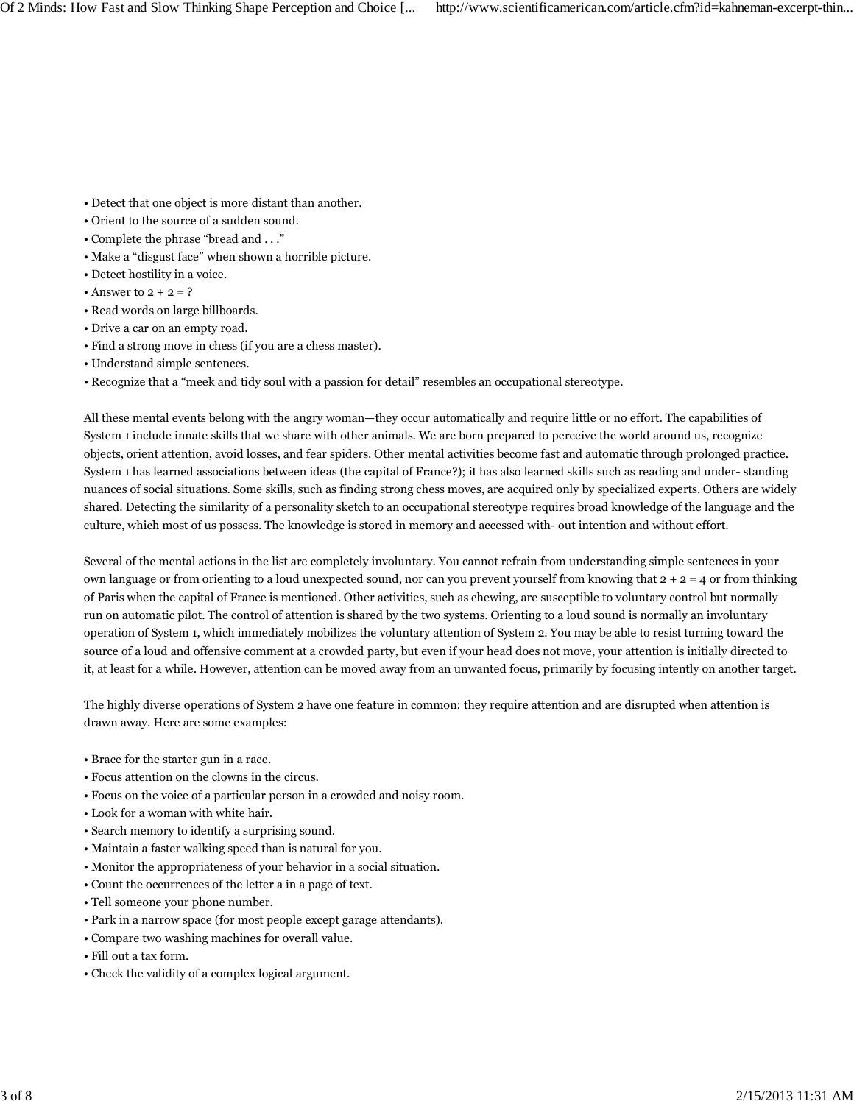- Detect that one object is more distant than another.
- Orient to the source of a sudden sound.
- Complete the phrase "bread and . . ."
- Make a "disgust face" when shown a horrible picture.
- Detect hostility in a voice.
- Answer to  $2 + 2 = ?$
- Read words on large billboards.
- Drive a car on an empty road.
- Find a strong move in chess (if you are a chess master).
- Understand simple sentences.
- Recognize that a "meek and tidy soul with a passion for detail" resembles an occupational stereotype.

All these mental events belong with the angry woman—they occur automatically and require little or no effort. The capabilities of System 1 include innate skills that we share with other animals. We are born prepared to perceive the world around us, recognize objects, orient attention, avoid losses, and fear spiders. Other mental activities become fast and automatic through prolonged practice. System 1 has learned associations between ideas (the capital of France?); it has also learned skills such as reading and under- standing nuances of social situations. Some skills, such as finding strong chess moves, are acquired only by specialized experts. Others are widely shared. Detecting the similarity of a personality sketch to an occupational stereotype requires broad knowledge of the language and the culture, which most of us possess. The knowledge is stored in memory and accessed with- out intention and without effort.

Several of the mental actions in the list are completely involuntary. You cannot refrain from understanding simple sentences in your own language or from orienting to a loud unexpected sound, nor can you prevent yourself from knowing that  $2 + 2 = 4$  or from thinking of Paris when the capital of France is mentioned. Other activities, such as chewing, are susceptible to voluntary control but normally run on automatic pilot. The control of attention is shared by the two systems. Orienting to a loud sound is normally an involuntary operation of System 1, which immediately mobilizes the voluntary attention of System 2. You may be able to resist turning toward the source of a loud and offensive comment at a crowded party, but even if your head does not move, your attention is initially directed to it, at least for a while. However, attention can be moved away from an unwanted focus, primarily by focusing intently on another target.

The highly diverse operations of System 2 have one feature in common: they require attention and are disrupted when attention is drawn away. Here are some examples:

- Brace for the starter gun in a race.
- Focus attention on the clowns in the circus.
- Focus on the voice of a particular person in a crowded and noisy room.
- Look for a woman with white hair.
- Search memory to identify a surprising sound.
- Maintain a faster walking speed than is natural for you.
- Monitor the appropriateness of your behavior in a social situation.
- Count the occurrences of the letter a in a page of text.
- Tell someone your phone number.
- Park in a narrow space (for most people except garage attendants).
- Compare two washing machines for overall value.
- Fill out a tax form.
- Check the validity of a complex logical argument.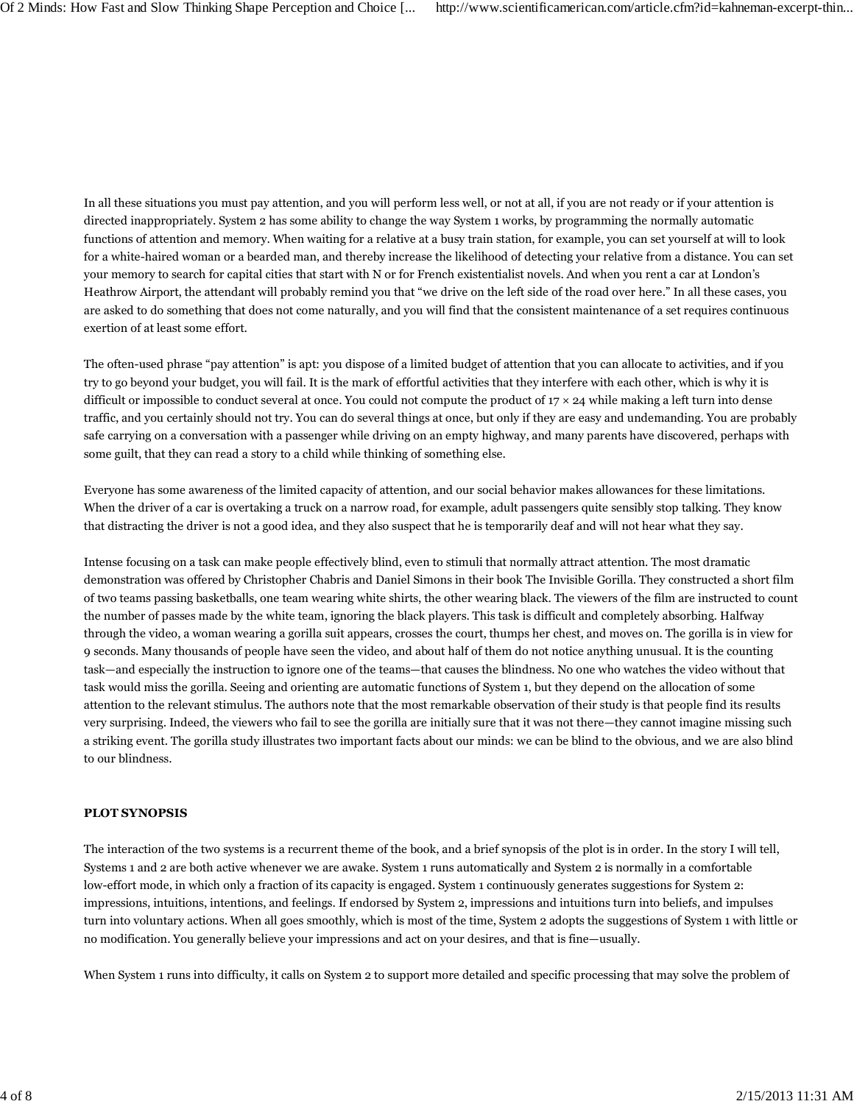In all these situations you must pay attention, and you will perform less well, or not at all, if you are not ready or if your attention is directed inappropriately. System 2 has some ability to change the way System 1 works, by programming the normally automatic functions of attention and memory. When waiting for a relative at a busy train station, for example, you can set yourself at will to look for a white-haired woman or a bearded man, and thereby increase the likelihood of detecting your relative from a distance. You can set your memory to search for capital cities that start with N or for French existentialist novels. And when you rent a car at London's Heathrow Airport, the attendant will probably remind you that "we drive on the left side of the road over here." In all these cases, you are asked to do something that does not come naturally, and you will find that the consistent maintenance of a set requires continuous exertion of at least some effort.

The often-used phrase "pay attention" is apt: you dispose of a limited budget of attention that you can allocate to activities, and if you try to go beyond your budget, you will fail. It is the mark of effortful activities that they interfere with each other, which is why it is difficult or impossible to conduct several at once. You could not compute the product of  $17 \times 24$  while making a left turn into dense traffic, and you certainly should not try. You can do several things at once, but only if they are easy and undemanding. You are probably safe carrying on a conversation with a passenger while driving on an empty highway, and many parents have discovered, perhaps with some guilt, that they can read a story to a child while thinking of something else.

Everyone has some awareness of the limited capacity of attention, and our social behavior makes allowances for these limitations. When the driver of a car is overtaking a truck on a narrow road, for example, adult passengers quite sensibly stop talking. They know that distracting the driver is not a good idea, and they also suspect that he is temporarily deaf and will not hear what they say.

Intense focusing on a task can make people effectively blind, even to stimuli that normally attract attention. The most dramatic demonstration was offered by Christopher Chabris and Daniel Simons in their book The Invisible Gorilla. They constructed a short film of two teams passing basketballs, one team wearing white shirts, the other wearing black. The viewers of the film are instructed to count the number of passes made by the white team, ignoring the black players. This task is difficult and completely absorbing. Halfway through the video, a woman wearing a gorilla suit appears, crosses the court, thumps her chest, and moves on. The gorilla is in view for 9 seconds. Many thousands of people have seen the video, and about half of them do not notice anything unusual. It is the counting task—and especially the instruction to ignore one of the teams—that causes the blindness. No one who watches the video without that task would miss the gorilla. Seeing and orienting are automatic functions of System 1, but they depend on the allocation of some attention to the relevant stimulus. The authors note that the most remarkable observation of their study is that people find its results very surprising. Indeed, the viewers who fail to see the gorilla are initially sure that it was not there—they cannot imagine missing such a striking event. The gorilla study illustrates two important facts about our minds: we can be blind to the obvious, and we are also blind to our blindness.

#### **PLOT SYNOPSIS**

The interaction of the two systems is a recurrent theme of the book, and a brief synopsis of the plot is in order. In the story I will tell, Systems 1 and 2 are both active whenever we are awake. System 1 runs automatically and System 2 is normally in a comfortable low-effort mode, in which only a fraction of its capacity is engaged. System 1 continuously generates suggestions for System 2: impressions, intuitions, intentions, and feelings. If endorsed by System 2, impressions and intuitions turn into beliefs, and impulses turn into voluntary actions. When all goes smoothly, which is most of the time, System 2 adopts the suggestions of System 1 with little or no modification. You generally believe your impressions and act on your desires, and that is fine—usually.

When System 1 runs into difficulty, it calls on System 2 to support more detailed and specific processing that may solve the problem of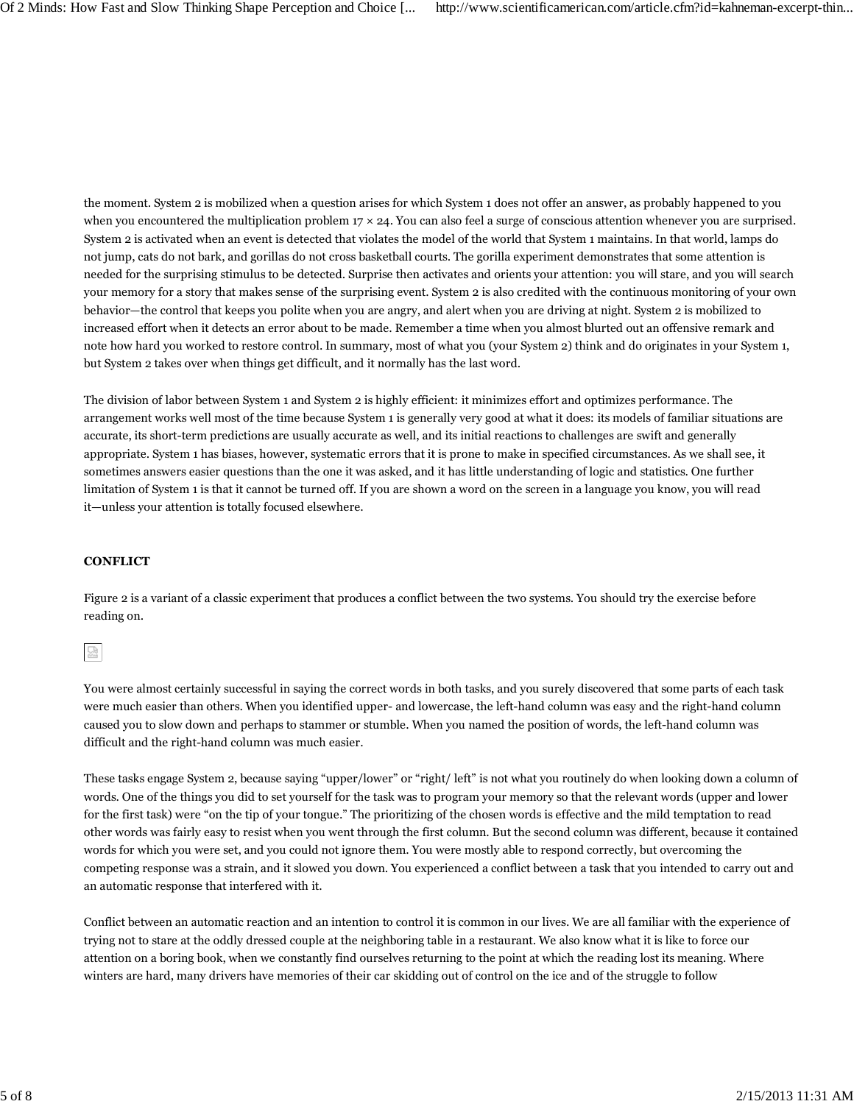the moment. System 2 is mobilized when a question arises for which System 1 does not offer an answer, as probably happened to you when you encountered the multiplication problem  $17 \times 24$ . You can also feel a surge of conscious attention whenever you are surprised. System 2 is activated when an event is detected that violates the model of the world that System 1 maintains. In that world, lamps do not jump, cats do not bark, and gorillas do not cross basketball courts. The gorilla experiment demonstrates that some attention is needed for the surprising stimulus to be detected. Surprise then activates and orients your attention: you will stare, and you will search your memory for a story that makes sense of the surprising event. System 2 is also credited with the continuous monitoring of your own behavior—the control that keeps you polite when you are angry, and alert when you are driving at night. System 2 is mobilized to increased effort when it detects an error about to be made. Remember a time when you almost blurted out an offensive remark and note how hard you worked to restore control. In summary, most of what you (your System 2) think and do originates in your System 1, but System 2 takes over when things get difficult, and it normally has the last word.

The division of labor between System 1 and System 2 is highly efficient: it minimizes effort and optimizes performance. The arrangement works well most of the time because System 1 is generally very good at what it does: its models of familiar situations are accurate, its short-term predictions are usually accurate as well, and its initial reactions to challenges are swift and generally appropriate. System 1 has biases, however, systematic errors that it is prone to make in specified circumstances. As we shall see, it sometimes answers easier questions than the one it was asked, and it has little understanding of logic and statistics. One further limitation of System 1 is that it cannot be turned off. If you are shown a word on the screen in a language you know, you will read it—unless your attention is totally focused elsewhere.

#### **CONFLICT**

Figure 2 is a variant of a classic experiment that produces a conflict between the two systems. You should try the exercise before reading on.

 $\overline{\mathbb{R}}$ 

You were almost certainly successful in saying the correct words in both tasks, and you surely discovered that some parts of each task were much easier than others. When you identified upper- and lowercase, the left-hand column was easy and the right-hand column caused you to slow down and perhaps to stammer or stumble. When you named the position of words, the left-hand column was difficult and the right-hand column was much easier.

These tasks engage System 2, because saying "upper/lower" or "right/ left" is not what you routinely do when looking down a column of words. One of the things you did to set yourself for the task was to program your memory so that the relevant words (upper and lower for the first task) were "on the tip of your tongue." The prioritizing of the chosen words is effective and the mild temptation to read other words was fairly easy to resist when you went through the first column. But the second column was different, because it contained words for which you were set, and you could not ignore them. You were mostly able to respond correctly, but overcoming the competing response was a strain, and it slowed you down. You experienced a conflict between a task that you intended to carry out and an automatic response that interfered with it.

Conflict between an automatic reaction and an intention to control it is common in our lives. We are all familiar with the experience of trying not to stare at the oddly dressed couple at the neighboring table in a restaurant. We also know what it is like to force our attention on a boring book, when we constantly find ourselves returning to the point at which the reading lost its meaning. Where winters are hard, many drivers have memories of their car skidding out of control on the ice and of the struggle to follow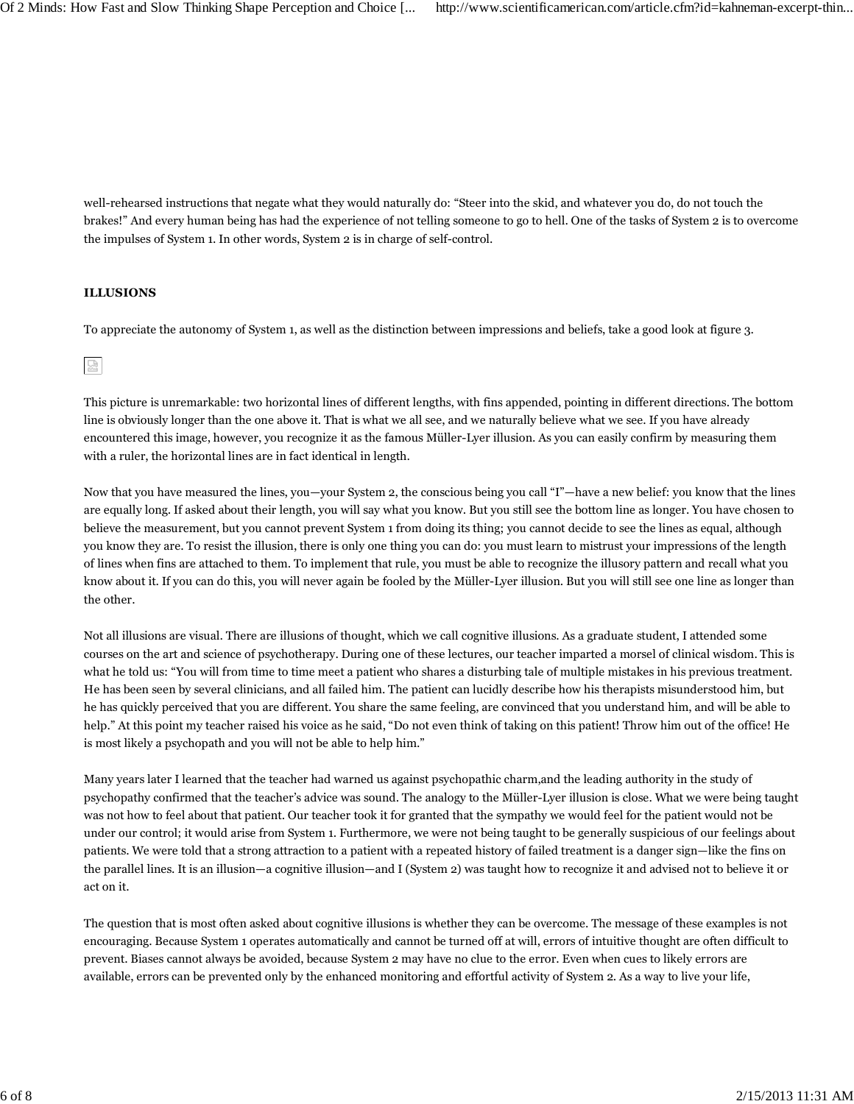well-rehearsed instructions that negate what they would naturally do: "Steer into the skid, and whatever you do, do not touch the brakes!" And every human being has had the experience of not telling someone to go to hell. One of the tasks of System 2 is to overcome the impulses of System 1. In other words, System 2 is in charge of self-control.

#### **ILLUSIONS**

To appreciate the autonomy of System 1, as well as the distinction between impressions and beliefs, take a good look at figure 3.

 $\mathbb{Z}$ 

This picture is unremarkable: two horizontal lines of different lengths, with fins appended, pointing in different directions. The bottom line is obviously longer than the one above it. That is what we all see, and we naturally believe what we see. If you have already encountered this image, however, you recognize it as the famous Müller-Lyer illusion. As you can easily confirm by measuring them with a ruler, the horizontal lines are in fact identical in length.

Now that you have measured the lines, you—your System 2, the conscious being you call "I"—have a new belief: you know that the lines are equally long. If asked about their length, you will say what you know. But you still see the bottom line as longer. You have chosen to believe the measurement, but you cannot prevent System 1 from doing its thing; you cannot decide to see the lines as equal, although you know they are. To resist the illusion, there is only one thing you can do: you must learn to mistrust your impressions of the length of lines when fins are attached to them. To implement that rule, you must be able to recognize the illusory pattern and recall what you know about it. If you can do this, you will never again be fooled by the Müller-Lyer illusion. But you will still see one line as longer than the other.

Not all illusions are visual. There are illusions of thought, which we call cognitive illusions. As a graduate student, I attended some courses on the art and science of psychotherapy. During one of these lectures, our teacher imparted a morsel of clinical wisdom. This is what he told us: "You will from time to time meet a patient who shares a disturbing tale of multiple mistakes in his previous treatment. He has been seen by several clinicians, and all failed him. The patient can lucidly describe how his therapists misunderstood him, but he has quickly perceived that you are different. You share the same feeling, are convinced that you understand him, and will be able to help." At this point my teacher raised his voice as he said, "Do not even think of taking on this patient! Throw him out of the office! He is most likely a psychopath and you will not be able to help him."

Many years later I learned that the teacher had warned us against psychopathic charm,and the leading authority in the study of psychopathy confirmed that the teacher's advice was sound. The analogy to the Müller-Lyer illusion is close. What we were being taught was not how to feel about that patient. Our teacher took it for granted that the sympathy we would feel for the patient would not be under our control; it would arise from System 1. Furthermore, we were not being taught to be generally suspicious of our feelings about patients. We were told that a strong attraction to a patient with a repeated history of failed treatment is a danger sign—like the fins on the parallel lines. It is an illusion—a cognitive illusion—and I (System 2) was taught how to recognize it and advised not to believe it or act on it.

The question that is most often asked about cognitive illusions is whether they can be overcome. The message of these examples is not encouraging. Because System 1 operates automatically and cannot be turned off at will, errors of intuitive thought are often difficult to prevent. Biases cannot always be avoided, because System 2 may have no clue to the error. Even when cues to likely errors are available, errors can be prevented only by the enhanced monitoring and effortful activity of System 2. As a way to live your life,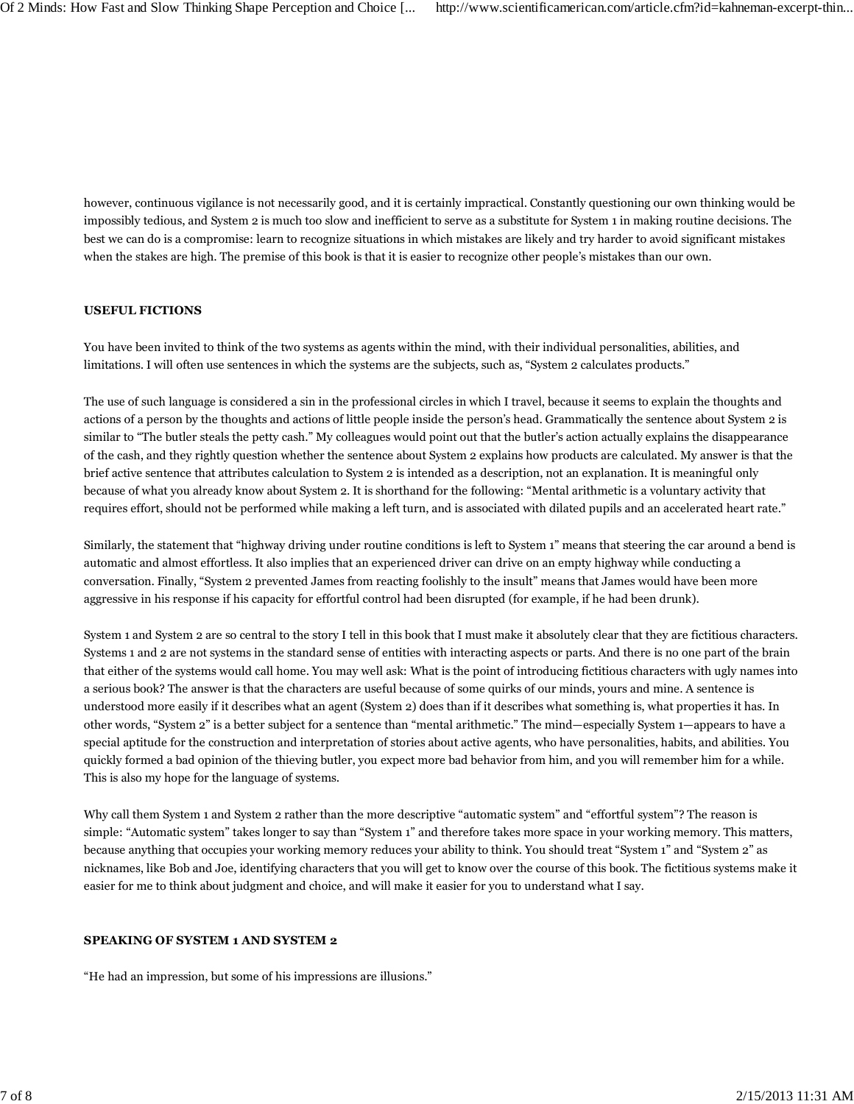however, continuous vigilance is not necessarily good, and it is certainly impractical. Constantly questioning our own thinking would be impossibly tedious, and System 2 is much too slow and inefficient to serve as a substitute for System 1 in making routine decisions. The best we can do is a compromise: learn to recognize situations in which mistakes are likely and try harder to avoid significant mistakes when the stakes are high. The premise of this book is that it is easier to recognize other people's mistakes than our own.

#### **USEFUL FICTIONS**

You have been invited to think of the two systems as agents within the mind, with their individual personalities, abilities, and limitations. I will often use sentences in which the systems are the subjects, such as, "System 2 calculates products."

The use of such language is considered a sin in the professional circles in which I travel, because it seems to explain the thoughts and actions of a person by the thoughts and actions of little people inside the person's head. Grammatically the sentence about System 2 is similar to "The butler steals the petty cash." My colleagues would point out that the butler's action actually explains the disappearance of the cash, and they rightly question whether the sentence about System 2 explains how products are calculated. My answer is that the brief active sentence that attributes calculation to System 2 is intended as a description, not an explanation. It is meaningful only because of what you already know about System 2. It is shorthand for the following: "Mental arithmetic is a voluntary activity that requires effort, should not be performed while making a left turn, and is associated with dilated pupils and an accelerated heart rate."

Similarly, the statement that "highway driving under routine conditions is left to System 1" means that steering the car around a bend is automatic and almost effortless. It also implies that an experienced driver can drive on an empty highway while conducting a conversation. Finally, "System 2 prevented James from reacting foolishly to the insult" means that James would have been more aggressive in his response if his capacity for effortful control had been disrupted (for example, if he had been drunk).

System 1 and System 2 are so central to the story I tell in this book that I must make it absolutely clear that they are fictitious characters. Systems 1 and 2 are not systems in the standard sense of entities with interacting aspects or parts. And there is no one part of the brain that either of the systems would call home. You may well ask: What is the point of introducing fictitious characters with ugly names into a serious book? The answer is that the characters are useful because of some quirks of our minds, yours and mine. A sentence is understood more easily if it describes what an agent (System 2) does than if it describes what something is, what properties it has. In other words, "System 2" is a better subject for a sentence than "mental arithmetic." The mind—especially System 1—appears to have a special aptitude for the construction and interpretation of stories about active agents, who have personalities, habits, and abilities. You quickly formed a bad opinion of the thieving butler, you expect more bad behavior from him, and you will remember him for a while. This is also my hope for the language of systems.

Why call them System 1 and System 2 rather than the more descriptive "automatic system" and "effortful system"? The reason is simple: "Automatic system" takes longer to say than "System 1" and therefore takes more space in your working memory. This matters, because anything that occupies your working memory reduces your ability to think. You should treat "System 1" and "System 2" as nicknames, like Bob and Joe, identifying characters that you will get to know over the course of this book. The fictitious systems make it easier for me to think about judgment and choice, and will make it easier for you to understand what I say.

#### **SPEAKING OF SYSTEM 1 AND SYSTEM 2**

"He had an impression, but some of his impressions are illusions."